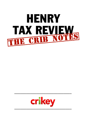

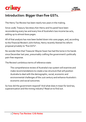

# **Introduction: Bigger than five GSTs.**

The Henry Tax Review has been nearly two years in the making.

Since 2008, Treasury Secretary Ken Henry and his panel have been reconsidering every tax and every line of Australia's two income tax acts, adding up to almost 6000 pages.

All of that analysis has now been boiled down into 1000 pages, and, according to the *Financial Review*'s John Kehoe, Henry recently likened his reform proposal privately to "five GSTs".

No wonder then that Treasurer Wayne Swan has had the tome in his hands since December last year, presumably crafting the government's politically pain-free response.

The Review's ambitious terms of reference state:

The comprehensive review of Australia's tax system will examine and make recommendations to create a tax structure that will position Australia to deal with the demographic, social, economic and environmental challenges of the 21st century and enhance Australia's economic and social outcomes.

So how did the government respond? And what does it mean for land tax, superannuation and the mining industry? Read on to find out.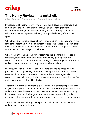

# **The Henry Review, in a nutshell.**

**Crikey Canberra Correspondent, Bernard Keane, writes:**

Expectations about the Henry Review centred on a document that would be anything but the "root and branch" analysis originally sought by the Government: rather, it would offer an array of small – though significant – reforms that would improve an already strong and relatively efficient tax system.

While those expectations haven't been confounded, this is a subtle and, in the long term, potentially very significant set of proposals that sticks closely to its goal of an efficient tax system and follows them rigorously, regardless of the consequences, over a 40-year timeframe.

What Ken Henry and his team have recommended is a far simpler tax and transfer system intended to encourage productivity, participation and economic growth, secure retirement incomes, make housing more affordable and reduce the burden of tax compliance for all Australians.

In particular, the Review wants government revenue to be based on four principal sources – personal, corporate, consumption and natural resources taxes – with no other taxes except those aimed at addressing social or economic costs. In its view, all other taxes – insurance taxes, payroll taxes, fuel excise, you name it – should be abolished.

There are few of the traditional big-ticket items from tax reform processes of old, such as big new taxes. Instead, the Review has run through the entire state and Commonwealth taxation system to work out what, if we were designing it from scratch, we should change in order to improve a system that, while reasonably strong, is rife with perverse incentives, inefficiencies and inequities.

The Review team was charged with providing a long-term reform blueprint, and they've come up with one.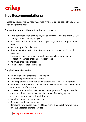



# **Key Recommendations:**

The Henry Review makes nearly 140 recommendations across eight key areas. The highlights include:

### **Supporting productivity, participation and growth:**

- Long-term reduction of company tax toward the lower end of the OECD average, initially aiming at 25%
- Build work incentives into income support payments via targeted means tests
- Better support for child care
- Streamlining the tax treatment of investment, particularly for small business
- Improving road investment through road user charges, including congestion charges, that better reflect usage
- Volumetric taxation of alcohol
- Significant rise in tobacco excise

#### **Simpler income tax system:**

- A higher tax-free threshold (~\$25,000 pa)
- All transfer payments to be tax-free
- Two-step tax scale, with additional charges like Medicare integrated
- Rationalisation and reduction of income tax deductions and a fairer, worksupportive transfer system
- Three-level approach to transfer payments: pensions for aged, disabled and carers; lower-rate allowances for people of working age and assistance for young people and students
- Simplified family payments system
- Removing inefficient state taxes
- Removing state taxes like payroll taxes with a single cash flow tax, with revenue allocated to state services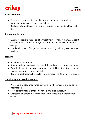

## **Land taxation:**

- Reform the taxation of immobile production factors like land, by removing or replacing resource royalties
- Replace state land taxes with a land tax system applying to all types of land

### **Retirement incomes:**

- Overhaul superannuation taxation treatment to make it more consistent with overhaul income taxation, with continuing assistance for workers over 50
- The development of longevity income products, including a Government product

## **Housing:**

- Boost rental assistance
- Streamline land taxation to remove disincentives to property investment
- Over the longer-term, make treatment of rental investment for personal income tax purposes more neutral
- Review infrastructure charges to remove impediments to housing supply

### **Simplifying the taxation system:**

- Provide a one-stop shop for taxpayers on all their income and taxation information
- Most personal taxpayers should have a pre-filled tax return
- Greater involvement by and feedback from taxpayers in the taxation system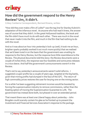



## **How did the government respond to the Henry Review? Um, it didn't.**

**Crikey Canberra Correspondent, Bernard Keane, writes:**

"How did they ever make a film of *Lolita*?" was the tag line for Stanley Kubrick's adaptation of the infamous novel. As anyone who had read it knew, the answer was of course that they didn't. In the great Hollywood tradition, the book and the film didn't have much to do with each other. There was much in the novel that never made it into the film, and much in the film that had nothing to do with the novel.

And so it was about an hour into yesterday's lock-up (well, it took me an hour, brighter sparks probably worked it out much more quickly) that we realised that we'd been lured in on the basis that the government was unveiling its response to the Henry Review, but the response bore little resemblance to the Review. The physical documents told the story: the Review documents were a couple of inches thick, the response was four booklets and some press releases in a nice sleeve. And half the government's announcements weren't in the Review.

That's not to say yesterday's announcements weren't solid reforms. I suggested a super profits tax a couple of years ago, targeted at the big banks, given that mining profits had slumped in the face of the GFC. The return of high commodity prices restores the case for levying one on the mining sector.

For a while I've been suggesting retirement incomes would be boosted by forcing the superannuation industry to remove commissions, rather than the Keating option of moving the Superannuation Guarantee to 12%. The government has instead done both, but phased-in over an extended period.

That meant there was at least one Liberal happy about yesterday – John Brogden could scarcely contain his glee as he fronted up to present the Investment and Financial Services Association's response to the package.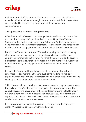

It also means that, if the commodities boom stays on track, there'll be an extended, albeit small, counterweight to demand-driven inflation as workers are compelled to progressively move more of their income into superannuation.

## **The Opposition's response – not great either.**

After the opposition's reaction on super yesterday and today, it's clearer than ever that they simply don't get it, and never have. Opposition Treasury Spokesman Joe Hockey, flanked by Tony Abbott and Andrew Robb, gave a good press conference yesterday afternoon – there was much to agree with in his description of the government's response, or lack thereof, to the Review.

But the Libs (former senator John Watson honourably excepted) seem only able to see compulsory super as an imposition on business, rather than employees' contribution to their own retirement income. Maybe it's because Liberals tend to the view that employees are just one more cost input among many for business, and any government interference there amounts to taxation.

Perhaps that's why the Howard government's superannuation reforms amounted to little more than trying to push some working Australians' superannuation back into the corporate sector via superannuation "choice" and lining up an array of handouts to high-income earners.

Still, if the opposition thinks it's such a massive tax grab, they can always block the package. They're blocking everything else this government does. They correctly accuse the government of being gutless in refusing to tackle reform, but then block what reform it does take and refuse to say what reform they support. The only tax policy we have from the Coalition three months out from an election is one to raise business taxes.

If the government isn't credible on economic reform, the other mob aren't either. What did we do to deserve this Parliament?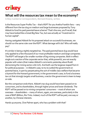

## **What will the resources tax mean to the economy?**

**Crikey Canberra Correspondent, Bernard Keane, writes:**

Is the Resources Super Profits Tax -- that's RSPT for you Aretha Franklin fans -- very different from the tax slug on medium and large businesses proposed by Tony Abbott to fund his paid parental leave scheme? That's the one, you'll recall, that may have looked like a Great Big New Tax, but was actually an "investment in human capital".

Having castigated Abbott for his proposed attack on successful businesses, we should run the same ruler over the RSPT. What damage will it do? Who will really pay?

It's similar in being a tightly targeted tax. The paid parental leave slug would have only applied to a few thousand of our most profitable medium and large companies. The RSPT will target a far smaller number of big mining companies. Both in effect single out a section of the corporate sector that, while powerful, are not exactly popular with voters (that makes Abbott's comments yesterday about Rudd demonising the mining sector a bit rich). And both use the largesse reaped from it for political purposes -- in Abbott's case, to try to outbid the government on parental leave, in part by perpetuating the sort of middle class welfare that became a byword for the Howard government; in the government's case, to fund a business tax cut that strongly targets small business, a sector the government is keen to keep on side.

But the comparison ends there. Abbott's tax slug would have been passed on to consumers, and to shareholders, through higher prices and lower dividends. The RSPT will be passed on to mining companies' consumers -- most of whom are overseas -- shareholders -- many of whom, again, are overseas, particularly in the case of BHP-Billiton, Rio Tinto. Indeed, much of the RSPT will be paid, one way or another, by Chinese interests.

Hands up anyone, Clive Palmer apart, who has a problem with that?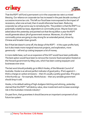

That the RSPT will fund a permanent cut in the corporate tax rate is a mixed blessing. Our reliance on corporate tax has increased in the past decade courtesy of successive income tax cuts. This left our fiscal base more exposed to the impact of recessions, when one arrived, than it would otherwise have been. Reducing corporate tax will go some way to remedying this. The problem is that the RSPT is a potentially volatile tax base, dependent on commodity prices. Wayne Swan was asked about this yesterday and pointed out that the \$9 billion a year the RSPT would generate about 3% of government revenue. Moreover, it's a fair bet commodity prices are going to stay strong for an extended period, driven by Chinese and broader Asian growth.

But if that bet doesn't come off, the design of the RSPT -- it hits super profits hard, but it also treats more marginal resources projects, and exploration, more generously -- will end up costing taxpayers a lot of money.

A more stable base, such as an expansion of the GST would have been preferable. The best option would have been to remove the moronic food exemption foisted on the Howard government by Meg Lees, which has been costing taxpayers and businesses ever since.

The last word should probably go to Mitch Hooke, of the Minerals Council of Australia. Hooke is an almost perfect indicator of good policy. If he's against it - think a charge on carbon emissions -- then it's usually a pretty good idea. If he gives it the thumbs up -- for example, Workchoices -- then any sensible government should drop it cold.

Hooke, in his default setting of high-dudgeon bitching and whining, yesterday claimed that the RSPT "will destroy value, slow investment and increase sovereign risk in the Australian minerals industry".

On past form, that guarantees it should become an important component of out future tax system.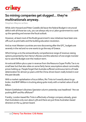



## **So mining companies get slugged... they're multinationals anyway.**

**Stephen Mayne writes:**

While John Howard and Peter Costello did leave the federal Budget in structural deficit with all those tax cuts, you can always rely on a Labor government to crank up the spending and worsen the fiscal outlook.

However, at least most of the Rudd government's new initiatives have been oneoffs such as pink batts and the building education revolution.

And as most Western countries are now discovering after the GFC, budgets are severely in the red and no-one wants to go the way of Greece.

Which brings us to the extraordinarily comprehensive range of revenue-raising options presented by Ken Henry's Review and the selection of one single monster tax to save the Budget over the medium term.

An extra \$6 billion-plus a year in revenue from the Resource Super Profits Tax is no small beer but that also relies on some fairly heroic assumptions about commodity prices holding up. People forget that Australia suffered continuous terms of trade deterioration for almost 50 years until the China-driven boom really kicked in over the past decade.

With a market capitalisation of \$120 billion, Rio Tinto isn't exactly about to go broke. And BHP-Billiton is trucking along quite nicely with a market value of \$228 billion.

Robert Gottliebsen's *Business Spectator* column yesterday was headlined: "Are we pushing BHP and Rio offshore?"

Frankly, London-based Rio Tinto is effectively a foreign company already, given that Australians only own about 13% and there are just three Australian-based directors on the 14-person board.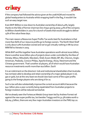# crikey

If the company had followed the advice given at the 2008 AGM and moved its global headquarters to Australia whilst wrapping itself in the flag, it wouldn't be such an easy target now.

Even BHP-Billiton is now down to Australian ownership of about 40%, largely thanks to the folly of former chairman Don Argus giving away 42% of the company to Billiton shareholders in 2001 for a bunch of assets that would struggle to deliver 15% of the value these days.

The main reason a Resources Super Profits Tax works best for Australians is that more than 80% of our resource profits go to foreign owners. The North West Shelf is only about 10% Australian owned and we've got virtually nothing in Mt Isa since MIM fell to Xstrata in 2003.

While BHP and Rio together have Australian operations worth almost \$200 billion, there is another \$200 billion-plus of projects down under controlled by the likes of Xstrata, Mitsui, Mitsubishi, Marubeni, Shell, Exxon-Mobil, BP, BG, Chevron, Anglo-American, Peabody, Conoco-Philips, Apache Energy, Alcoa, Newmont and the Chinese government. That's another 16 players, all of which would have Australian resource investments worth more than \$10 billion. Each!

It is an indictment on the directors' club and institutional shareholders that Australia has not been able to develop and retain ownership of a major global player in oil, gas or gold, but at the very least we should claw back some of the super profits going to the foreign players who are doing it for us.

Such a tax will also substantially improve the current account deficit because the \$40 billion-plus a year currently being repatriated from Australian projects to foreign investors will be reduced somewhat.

We've already seen the Fortescue Metals Group team led by Andrew Forrest rail against the new super profits tax, but besides Twiggy and his 31.5% stake worth a tidy \$4.5 billion, there are very few major Australian investors on the FMG top 20.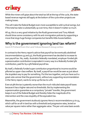

While the miners will gripe about the total tax bill at the top of the cycle, the statebased revenue regimes still apply at the bottom of the cycle when projects are making losses.

This will make the federal Budget even more susceptible to wild cyclical swings, but if the total tax take is substantially up over time, then it doesn't matter so much.

All up, this is a very good initiative by the Rudd government and Tony Abbott should show some consistency with his anti-immigration policies by supporting a move that slugs huge foreign companies but benefits little Aussie battlers.

# **Why is the government ignoring land tax reform?**

**Gavin R Putland from the Land Values Research Group writes:**

In contrast to the Henry report's advice that payroll tax be eventually abolished (recommendations 55 and 57), the Rudd government has decided to increase its own payroll tax. No, really. Australia's federally mandated, employer-funded 9% superannuation contribution is equivalent in every way to a federally funded 9% contribution, paid for by a 9% federal payroll tax.

By itself, a federally funded super contribution proportional to income would be pilloried as upper-class welfare. By itself, a payroll tax would be seen as just about the stupidest way to pay for something. Put the two together, and you have such a great vote-winner that the government, without any supporting recommendation in the Henry report, wants to ramp up the tax to 12%.

Even at 9% the tax is patently worse than the much-ridiculed state payroll taxes because it has a higher rate and no thresholds. But by implementing the superannuation guarantee as a compulsory "private" transfer, the government keeps it out of the federal Budget and thereby hides the magnitude of its intervention and the crass stupidity of the equivalent tax.

Meanwhile, the government studiously ignores Henry's recommendations 51 to 54, which call for an all-in land tax with a threshold and progressive rates, levied on value per square metre rather than aggregate value. The per-unit-area basis avoids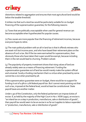# crikey

distortions related to aggregation and ensures that most agricultural land would be below the taxable threshold.

It strikes me that such a land tax would be particularly suitable for on-budget financing of the superannuation guarantee, for the following reasons:

(1) Taxes that are politically unacceptable when used for general revenue can become acceptable when hypothecated for popular causes.

(2) Few causes are more popular than the financing of retirement incomes, because everyone hopes to retire.

(3) The main political problem with an all-in land tax is that it offends retirees who are asset-rich but income-poor, and who have based their retirement plans on the absence of such a tax. But if the tax were earmarked for superannuation, then obviously those who have taken their super would be exempt, because including them in the net would lead to churning. Problem solved.

(4) The popularity of property investment shows that rising values of land are already widely seen as a means of financing retirement. Funding the superannuation guarantee out of land tax would merely make the system official and universal. Surely a funding mechanism that is a virtue when practised by some cannot be a vice when practised by all.

If the superannuation guarantee were on-budget, there would be no support for funding it out of a 9% or 12% federal payroll tax. But I cannot resist pointing out that such a tax, imposed at the federal level, would at least be constitutional. State payroll taxes are another matter.

Under s.90 of the Constitution, only the federal parliament can impose duties of excise. If, as held by the majority of the High Court in Ha v. NSW (1997), an excise is "an inland tax on a step in production, manufacture, sale or distribution of goods", then payroll tax would seem to be an excise in so far as it applies to labour expended in "production, manufacture, sale or distribution of goods".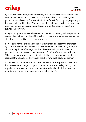

If, as held by the minority in the same case, "A state tax which fell selectively upon goods manufactured or produced in that state would be an excise duty", then payroll tax would seem to fit that definition in so far as it falls on goods, especially as the same judges added that "Whether a tax which falls upon locally produced goods discriminates against those goods in favour of imported goods is a question of substance, not form".

It might be argued that payroll tax does not specifically target goods as opposed to services. But neither does the GST, which is imposed at the federal rather than the state level because it is assumed to be an excise!

Payroll tax is not the only unexploded constitutional ordnance in the present tax system. Stamp duties on new vehicles (recommended for abolition by Henry) are also arguably duties of excise, while the collection mechanisms for GST and personal income tax would appear to violate s.82 of the Constitution, which says: "The costs, charges, and expenses incident to the collection, management, and receipt of the Consolidated Revenue Fund shall form the first charge thereon ..."

All of these constitutional threats can be removed with little political difficulty, no loss of revenue, and huge savings in compliance costs. But the legislators, in my experience, don't want to know. I am therefore inclined to think that the most promising venue for meaningful tax reform is the High Court.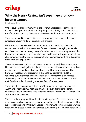

# **Why the Henry Review isn't super news for lowincome earners.**

**Eva Cox writes:**

One serious omission (of many) from the government's response to the Henry review is any sign of the adoption of the principles that Henry states about the tax transfer system signalling the national views on more than just economic goals.

The many areas of increased fairness and transparency in the two systems were ignored, so government promises are not promising.

We've not seen any acknowledgment of the areas that would have benefited women, and other low income earners, for example— facilitating higher female workforce participation through more affordable care and better integration of the tax and welfare payment systems. I don't agree with work testing payments when a child turns four, but the income tax exemption of payments would make it easier to move from care to paid work.

The report was used oddly to push some non-recommended ideas. For instance, Henry recommended against the rise to 12% of super, as it was not needed by those on higher incomes and would not specifically assist low income earners. The Review's suggestion was that contributions be taxed as income, i.e. at the recipients' current tax rate. This would have created better equity and netted additional government tax income as higher income recipients would have paid their fair share rather than using super as a form of tax avoidance.

The raising the super guarantee level to 12% is a sop to the super industry, the ACTU, and a return to Paul Keating's dream. However, it ignores the serious questions of equity that make extra super not particularly desirable for those on low and intermittent incomes.

The small rebate, proposed for refunding "up to \$500 p.a." for those earning under \$37,000, is a small, inadequate compensation for the other tax disadvantages of the super tax concessions. While it will just cancel their 15% tax on contributions, which often unfairly exceed their average tax rate, but doesn't give them nearly the 15% to